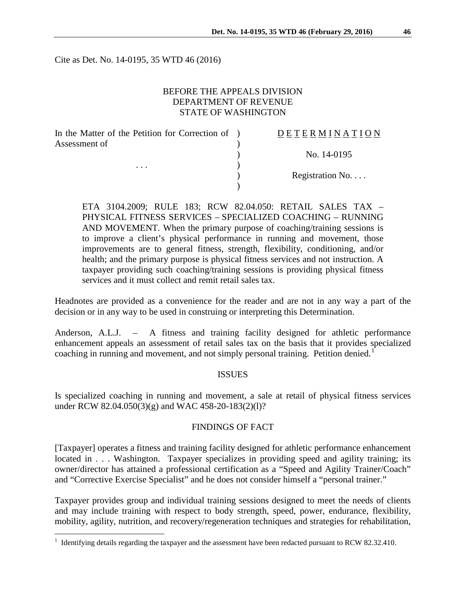Cite as Det. No. 14-0195, 35 WTD 46 (2016)

### BEFORE THE APPEALS DIVISION DEPARTMENT OF REVENUE STATE OF WASHINGTON

| In the Matter of the Petition for Correction of ) | DETERMINATION   |
|---------------------------------------------------|-----------------|
| Assessment of<br>$\cdots$                         |                 |
|                                                   | No. 14-0195     |
|                                                   |                 |
|                                                   | Registration No |
|                                                   |                 |

ETA 3104.2009; RULE 183; RCW 82.04.050: RETAIL SALES TAX – PHYSICAL FITNESS SERVICES – SPECIALIZED COACHING – RUNNING AND MOVEMENT. When the primary purpose of coaching/training sessions is to improve a client's physical performance in running and movement, those improvements are to general fitness, strength, flexibility, conditioning, and/or health; and the primary purpose is physical fitness services and not instruction. A taxpayer providing such coaching/training sessions is providing physical fitness services and it must collect and remit retail sales tax.

Headnotes are provided as a convenience for the reader and are not in any way a part of the decision or in any way to be used in construing or interpreting this Determination.

Anderson, A.L.J. – A fitness and training facility designed for athletic performance enhancement appeals an assessment of retail sales tax on the basis that it provides specialized coaching in running and movement, and not simply personal training. Petition denied.<sup>[1](#page-0-0)</sup>

#### ISSUES

Is specialized coaching in running and movement, a sale at retail of physical fitness services under RCW 82.04.050(3)(g) and WAC 458-20-183(2)(l)?

# FINDINGS OF FACT

[Taxpayer] operates a fitness and training facility designed for athletic performance enhancement located in . . . Washington. Taxpayer specializes in providing speed and agility training; its owner/director has attained a professional certification as a "Speed and Agility Trainer/Coach" and "Corrective Exercise Specialist" and he does not consider himself a "personal trainer."

Taxpayer provides group and individual training sessions designed to meet the needs of clients and may include training with respect to body strength, speed, power, endurance, flexibility, mobility, agility, nutrition, and recovery/regeneration techniques and strategies for rehabilitation,

<span id="page-0-0"></span><sup>&</sup>lt;sup>1</sup> Identifying details regarding the taxpayer and the assessment have been redacted pursuant to RCW 82.32.410.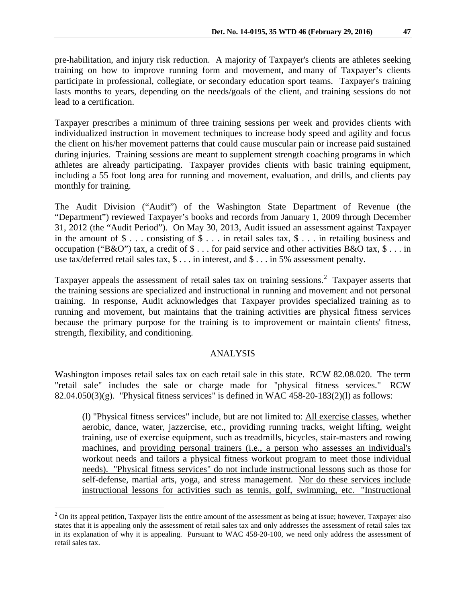pre-habilitation, and injury risk reduction. A majority of Taxpayer's clients are athletes seeking training on how to improve running form and movement, and many of Taxpayer's clients participate in professional, collegiate, or secondary education sport teams. Taxpayer's training lasts months to years, depending on the needs/goals of the client, and training sessions do not lead to a certification.

Taxpayer prescribes a minimum of three training sessions per week and provides clients with individualized instruction in movement techniques to increase body speed and agility and focus the client on his/her movement patterns that could cause muscular pain or increase paid sustained during injuries. Training sessions are meant to supplement strength coaching programs in which athletes are already participating. Taxpayer provides clients with basic training equipment, including a 55 foot long area for running and movement, evaluation, and drills, and clients pay monthly for training.

The Audit Division ("Audit") of the Washington State Department of Revenue (the "Department") reviewed Taxpayer's books and records from January 1, 2009 through December 31, 2012 (the "Audit Period"). On May 30, 2013, Audit issued an assessment against Taxpayer in the amount of  $\$ \dots$  consisting of  $\$ \dots$  in retail sales tax,  $\$ \dots$  in retailing business and occupation ("B&O") tax, a credit of \$ . . . for paid service and other activities B&O tax, \$ . . . in use tax/deferred retail sales tax, \$ . . . in interest, and \$ . . . in 5% assessment penalty.

Taxpayer appeals the assessment of retail sales tax on training sessions.<sup>[2](#page-1-0)</sup> Taxpayer asserts that the training sessions are specialized and instructional in running and movement and not personal training. In response, Audit acknowledges that Taxpayer provides specialized training as to running and movement, but maintains that the training activities are physical fitness services because the primary purpose for the training is to improvement or maintain clients' fitness, strength, flexibility, and conditioning.

#### ANALYSIS

Washington imposes retail sales tax on each retail sale in this state. RCW 82.08.020. The term "retail sale" includes the sale or charge made for "physical fitness services." RCW 82.04.050(3)(g). "Physical fitness services" is defined in WAC 458-20-183(2)(1) as follows:

(l) "Physical fitness services" include, but are not limited to: All exercise classes, whether aerobic, dance, water, jazzercise, etc., providing running tracks, weight lifting, weight training, use of exercise equipment, such as treadmills, bicycles, stair-masters and rowing machines, and providing personal trainers (i.e., a person who assesses an individual's workout needs and tailors a physical fitness workout program to meet those individual needs). "Physical fitness services" do not include instructional lessons such as those for self-defense, martial arts, yoga, and stress management. Nor do these services include instructional lessons for activities such as tennis, golf, swimming, etc. "Instructional

<span id="page-1-0"></span> $2$  On its appeal petition, Taxpayer lists the entire amount of the assessment as being at issue; however, Taxpayer also states that it is appealing only the assessment of retail sales tax and only addresses the assessment of retail sales tax in its explanation of why it is appealing. Pursuant to WAC 458-20-100, we need only address the assessment of retail sales tax.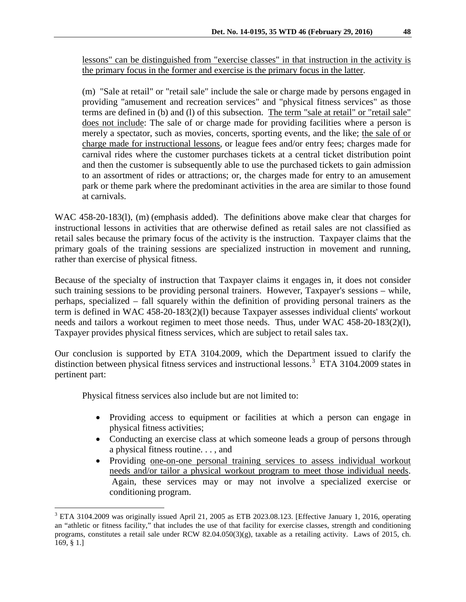lessons" can be distinguished from "exercise classes" in that instruction in the activity is the primary focus in the former and exercise is the primary focus in the latter.

(m) "Sale at retail" or "retail sale" include the sale or charge made by persons engaged in providing "amusement and recreation services" and "physical fitness services" as those terms are defined in (b) and (l) of this subsection. The term "sale at retail" or "retail sale" does not include: The sale of or charge made for providing facilities where a person is merely a spectator, such as movies, concerts, sporting events, and the like; the sale of or charge made for instructional lessons, or league fees and/or entry fees; charges made for carnival rides where the customer purchases tickets at a central ticket distribution point and then the customer is subsequently able to use the purchased tickets to gain admission to an assortment of rides or attractions; or, the charges made for entry to an amusement park or theme park where the predominant activities in the area are similar to those found at carnivals.

WAC 458-20-183(1), (m) (emphasis added). The definitions above make clear that charges for instructional lessons in activities that are otherwise defined as retail sales are not classified as retail sales because the primary focus of the activity is the instruction. Taxpayer claims that the primary goals of the training sessions are specialized instruction in movement and running, rather than exercise of physical fitness.

Because of the specialty of instruction that Taxpayer claims it engages in, it does not consider such training sessions to be providing personal trainers. However, Taxpayer's sessions – while, perhaps, specialized – fall squarely within the definition of providing personal trainers as the term is defined in WAC 458-20-183(2)(l) because Taxpayer assesses individual clients' workout needs and tailors a workout regimen to meet those needs. Thus, under WAC 458-20-183(2)(l), Taxpayer provides physical fitness services, which are subject to retail sales tax.

Our conclusion is supported by ETA 3104.2009, which the Department issued to clarify the distinction between physical fitness services and instructional lessons.<sup>[3](#page-2-0)</sup> ETA 3104.2009 states in pertinent part:

Physical fitness services also include but are not limited to:

- Providing access to equipment or facilities at which a person can engage in physical fitness activities;
- Conducting an exercise class at which someone leads a group of persons through a physical fitness routine. . . , and
- Providing one-on-one personal training services to assess individual workout needs and/or tailor a physical workout program to meet those individual needs. Again, these services may or may not involve a specialized exercise or conditioning program.

<span id="page-2-0"></span><sup>&</sup>lt;sup>3</sup> ETA 3104.2009 was originally issued April 21, 2005 as ETB 2023.08.123. [Effective January 1, 2016, operating an "athletic or fitness facility," that includes the use of that facility for exercise classes, strength and conditioning programs, constitutes a retail sale under RCW 82.04.050(3)(g), taxable as a retailing activity. Laws of 2015, ch. 169, § 1.]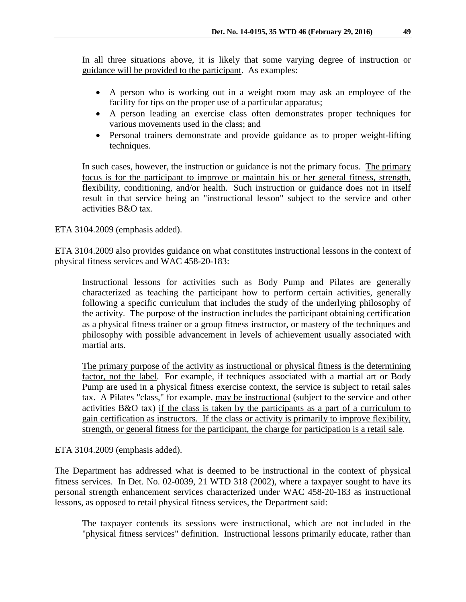In all three situations above, it is likely that some varying degree of instruction or guidance will be provided to the participant. As examples:

- A person who is working out in a weight room may ask an employee of the facility for tips on the proper use of a particular apparatus;
- A person leading an exercise class often demonstrates proper techniques for various movements used in the class; and
- Personal trainers demonstrate and provide guidance as to proper weight-lifting techniques.

In such cases, however, the instruction or guidance is not the primary focus. The primary focus is for the participant to improve or maintain his or her general fitness, strength, flexibility, conditioning, and/or health. Such instruction or guidance does not in itself result in that service being an "instructional lesson" subject to the service and other activities B&O tax.

ETA 3104.2009 (emphasis added).

ETA 3104.2009 also provides guidance on what constitutes instructional lessons in the context of physical fitness services and WAC 458-20-183:

Instructional lessons for activities such as Body Pump and Pilates are generally characterized as teaching the participant how to perform certain activities, generally following a specific curriculum that includes the study of the underlying philosophy of the activity. The purpose of the instruction includes the participant obtaining certification as a physical fitness trainer or a group fitness instructor, or mastery of the techniques and philosophy with possible advancement in levels of achievement usually associated with martial arts.

The primary purpose of the activity as instructional or physical fitness is the determining factor, not the label. For example, if techniques associated with a martial art or Body Pump are used in a physical fitness exercise context, the service is subject to retail sales tax. A Pilates "class," for example, may be instructional (subject to the service and other activities B&O tax) if the class is taken by the participants as a part of a curriculum to gain certification as instructors. If the class or activity is primarily to improve flexibility, strength, or general fitness for the participant, the charge for participation is a retail sale.

ETA 3104.2009 (emphasis added).

The Department has addressed what is deemed to be instructional in the context of physical fitness services. In Det. No. 02-0039, 21 WTD 318 (2002), where a taxpayer sought to have its personal strength enhancement services characterized under WAC 458-20-183 as instructional lessons, as opposed to retail physical fitness services, the Department said:

The taxpayer contends its sessions were instructional, which are not included in the "physical fitness services" definition. Instructional lessons primarily educate, rather than